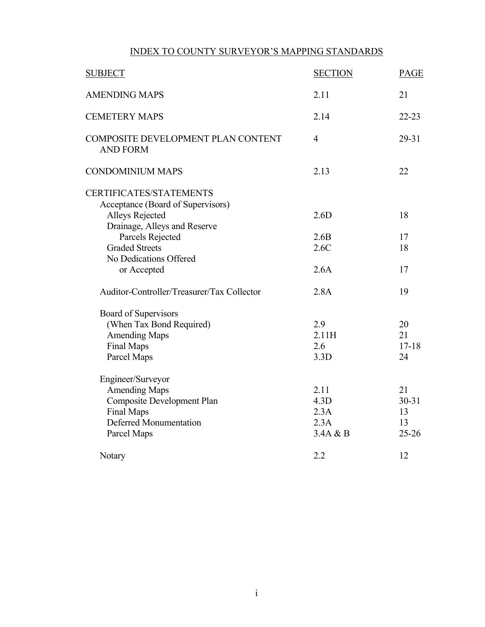## INDEX TO COUNTY SURVEYOR'S MAPPING STANDARDS

| <b>SUBJECT</b>                                        | <b>SECTION</b> | <b>PAGE</b> |  |
|-------------------------------------------------------|----------------|-------------|--|
| <b>AMENDING MAPS</b>                                  | 2.11           | 21          |  |
| <b>CEMETERY MAPS</b>                                  | 2.14           | $22 - 23$   |  |
| COMPOSITE DEVELOPMENT PLAN CONTENT<br><b>AND FORM</b> | $\overline{4}$ | 29-31       |  |
| <b>CONDOMINIUM MAPS</b>                               | 2.13           | 22          |  |
| <b>CERTIFICATES/STATEMENTS</b>                        |                |             |  |
| Acceptance (Board of Supervisors)                     |                |             |  |
| Alleys Rejected                                       | 2.6D           | 18          |  |
| Drainage, Alleys and Reserve                          |                |             |  |
| Parcels Rejected                                      | 2.6B           | 17          |  |
| <b>Graded Streets</b>                                 | 2.6C           | 18          |  |
| No Dedications Offered                                |                |             |  |
| or Accepted                                           | 2.6A           | 17          |  |
| Auditor-Controller/Treasurer/Tax Collector            | 2.8A           | 19          |  |
| Board of Supervisors                                  |                |             |  |
| (When Tax Bond Required)                              | 2.9            | 20          |  |
| <b>Amending Maps</b>                                  | 2.11H          | 21          |  |
| <b>Final Maps</b>                                     | 2.6            | $17 - 18$   |  |
| Parcel Maps                                           | 3.3D           | 24          |  |
| Engineer/Surveyor                                     |                |             |  |
| <b>Amending Maps</b>                                  | 2.11           | 21          |  |
| Composite Development Plan                            | 4.3D           | $30 - 31$   |  |
| Final Maps                                            | 2.3A           | 13          |  |
| <b>Deferred Monumentation</b>                         | 2.3A           | 13          |  |
| Parcel Maps                                           | 3.4A & B       | $25 - 26$   |  |
| Notary                                                | 2.2            | 12          |  |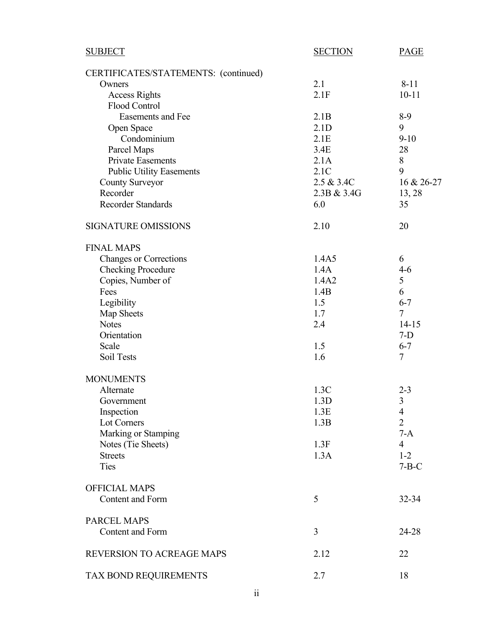| <b>SUBJECT</b>                       | <b>SECTION</b> | <b>PAGE</b>    |
|--------------------------------------|----------------|----------------|
| CERTIFICATES/STATEMENTS: (continued) |                |                |
| Owners                               | 2.1            | $8 - 11$       |
| <b>Access Rights</b>                 | 2.1F           | $10 - 11$      |
| Flood Control                        |                |                |
| <b>Easements and Fee</b>             | 2.1B           | $8-9$          |
| Open Space                           | 2.1D           | 9              |
| Condominium                          | 2.1E           | $9 - 10$       |
| Parcel Maps                          | 3.4E           | 28             |
| <b>Private Easements</b>             | 2.1A           | $8\,$          |
| <b>Public Utility Easements</b>      | 2.1C           | 9              |
| <b>County Surveyor</b>               | 2.5 & 3.4C     | 16 & 26-27     |
| Recorder                             | 2.3B & 3.4G    | 13, 28         |
| <b>Recorder Standards</b>            | 6.0            | 35             |
| <b>SIGNATURE OMISSIONS</b>           | 2.10           | 20             |
| <b>FINAL MAPS</b>                    |                |                |
| <b>Changes or Corrections</b>        | 1.4A5          | 6              |
| <b>Checking Procedure</b>            | 1.4A           | $4 - 6$        |
| Copies, Number of                    | 1.4A2          | 5              |
| Fees                                 | 1.4B           | 6              |
| Legibility                           | 1.5            | $6 - 7$        |
| Map Sheets                           | 1.7            | $\overline{7}$ |
| <b>Notes</b>                         | 2.4            | $14 - 15$      |
| Orientation                          |                | $7-D$          |
| Scale                                | 1.5            | $6 - 7$        |
| Soil Tests                           | 1.6            | $\tau$         |
| <b>MONUMENTS</b>                     |                |                |
| Alternate                            | 1.3C           | $2 - 3$        |
| Government                           | 1.3D           | $\mathfrak{Z}$ |
| Inspection                           | 1.3E           | $\overline{4}$ |
| Lot Corners                          | 1.3B           | $\overline{2}$ |
| Marking or Stamping                  |                | $7-A$          |
| Notes (Tie Sheets)                   | 1.3F           | $\overline{4}$ |
| <b>Streets</b>                       | 1.3A           | $1 - 2$        |
| Ties                                 |                | $7 - B - C$    |
| <b>OFFICIAL MAPS</b>                 |                |                |
| Content and Form                     | 5              | 32-34          |
|                                      |                |                |
| PARCEL MAPS                          |                |                |
| <b>Content and Form</b>              | 3              | 24-28          |
| REVERSION TO ACREAGE MAPS            | 2.12           | 22             |
| TAX BOND REQUIREMENTS                | 2.7            | 18             |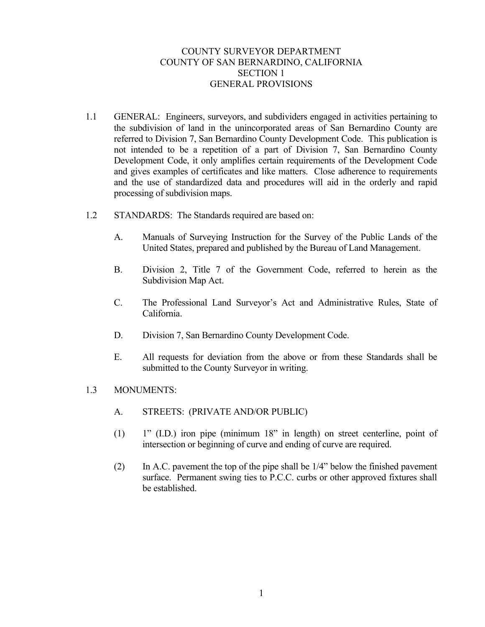## COUNTY SURVEYOR DEPARTMENT COUNTY OF SAN BERNARDINO, CALIFORNIA SECTION 1 GENERAL PROVISIONS

- 1.1 GENERAL: Engineers, surveyors, and subdividers engaged in activities pertaining to the subdivision of land in the unincorporated areas of San Bernardino County are referred to Division 7, San Bernardino County Development Code. This publication is not intended to be a repetition of a part of Division 7, San Bernardino County Development Code, it only amplifies certain requirements of the Development Code and gives examples of certificates and like matters. Close adherence to requirements and the use of standardized data and procedures will aid in the orderly and rapid processing of subdivision maps.
- 1.2 STANDARDS: The Standards required are based on:
	- A. Manuals of Surveying Instruction for the Survey of the Public Lands of the United States, prepared and published by the Bureau of Land Management.
	- B. Division 2, Title 7 of the Government Code, referred to herein as the Subdivision Map Act.
	- C. The Professional Land Surveyor's Act and Administrative Rules, State of California.
	- D. Division 7, San Bernardino County Development Code.
	- E. All requests for deviation from the above or from these Standards shall be submitted to the County Surveyor in writing.
- 1.3 MONUMENTS:
	- A. STREETS: (PRIVATE AND/OR PUBLIC)
	- (1) 1" (I.D.) iron pipe (minimum 18" in length) on street centerline, point of intersection or beginning of curve and ending of curve are required.
	- (2) In A.C. pavement the top of the pipe shall be 1/4" below the finished pavement surface. Permanent swing ties to P.C.C. curbs or other approved fixtures shall be established.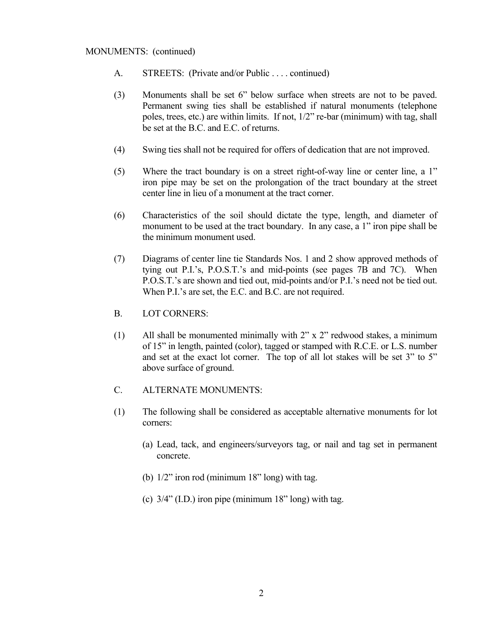#### MONUMENTS: (continued)

- A. STREETS: (Private and/or Public . . . . continued)
- (3) Monuments shall be set 6" below surface when streets are not to be paved. Permanent swing ties shall be established if natural monuments (telephone poles, trees, etc.) are within limits. If not, 1/2" re-bar (minimum) with tag, shall be set at the B.C. and E.C. of returns.
- (4) Swing ties shall not be required for offers of dedication that are not improved.
- (5) Where the tract boundary is on a street right-of-way line or center line, a 1" iron pipe may be set on the prolongation of the tract boundary at the street center line in lieu of a monument at the tract corner.
- (6) Characteristics of the soil should dictate the type, length, and diameter of monument to be used at the tract boundary. In any case, a 1" iron pipe shall be the minimum monument used.
- (7) Diagrams of center line tie Standards Nos. 1 and 2 show approved methods of tying out P.I.'s, P.O.S.T.'s and mid-points (see pages 7B and 7C). When P.O.S.T.'s are shown and tied out, mid-points and/or P.I.'s need not be tied out. When P.I.'s are set, the E.C. and B.C. are not required.
- B. LOT CORNERS:
- (1) All shall be monumented minimally with 2" x 2" redwood stakes, a minimum of 15" in length, painted (color), tagged or stamped with R.C.E. or L.S. number and set at the exact lot corner. The top of all lot stakes will be set 3" to 5" above surface of ground.
- C. ALTERNATE MONUMENTS:
- (1) The following shall be considered as acceptable alternative monuments for lot corners:
	- (a) Lead, tack, and engineers/surveyors tag, or nail and tag set in permanent concrete.
	- (b) 1/2" iron rod (minimum 18" long) with tag.
	- (c)  $3/4$ " (I.D.) iron pipe (minimum 18" long) with tag.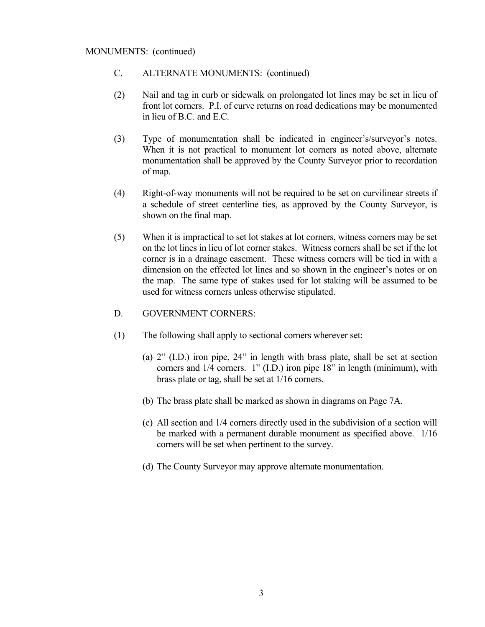#### MONUMENTS: (continued)

- C. ALTERNATE MONUMENTS: (continued)
- (2) Nail and tag in curb or sidewalk on prolongated lot lines may be set in lieu of front lot corners. P.I. of curve returns on road dedications may be monumented in lieu of B.C. and E.C.
- (3) Type of monumentation shall be indicated in engineer's/surveyor's notes. When it is not practical to monument lot corners as noted above, alternate monumentation shall be approved by the County Surveyor prior to recordation of map.
- (4) Right-of-way monuments will not be required to be set on curvilinear streets if a schedule of street centerline ties, as approved by the County Surveyor, is shown on the final map.
- (5) When it is impractical to set lot stakes at lot corners, witness corners may be set on the lot lines in lieu of lot corner stakes. Witness corners shall be set if the lot corner is in a drainage easement. These witness corners will be tied in with a dimension on the effected lot lines and so shown in the engineer's notes or on the map. The same type of stakes used for lot staking will be assumed to be used for witness corners unless otherwise stipulated.

### D. GOVERNMENT CORNERS:

- (1) The following shall apply to sectional corners wherever set:
	- (a) 2" (I.D.) iron pipe, 24" in length with brass plate, shall be set at section corners and 1/4 corners. 1" (I.D.) iron pipe 18" in length (minimum), with brass plate or tag, shall be set at 1/16 corners.
	- (b) The brass plate shall be marked as shown in diagrams on Page 7A.
	- (c) All section and 1/4 corners directly used in the subdivision of a section will be marked with a permanent durable monument as specified above. 1/16 corners will be set when pertinent to the survey.
	- (d) The County Surveyor may approve alternate monumentation.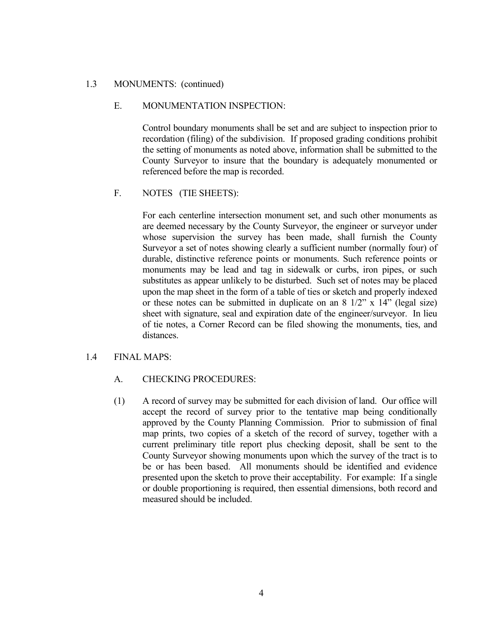#### 1.3 MONUMENTS: (continued)

#### E. MONUMENTATION INSPECTION:

 Control boundary monuments shall be set and are subject to inspection prior to recordation (filing) of the subdivision. If proposed grading conditions prohibit the setting of monuments as noted above, information shall be submitted to the County Surveyor to insure that the boundary is adequately monumented or referenced before the map is recorded.

#### F. NOTES (TIE SHEETS):

 For each centerline intersection monument set, and such other monuments as are deemed necessary by the County Surveyor, the engineer or surveyor under whose supervision the survey has been made, shall furnish the County Surveyor a set of notes showing clearly a sufficient number (normally four) of durable, distinctive reference points or monuments. Such reference points or monuments may be lead and tag in sidewalk or curbs, iron pipes, or such substitutes as appear unlikely to be disturbed. Such set of notes may be placed upon the map sheet in the form of a table of ties or sketch and properly indexed or these notes can be submitted in duplicate on an  $8 \frac{1}{2}$ " x  $14$ " (legal size) sheet with signature, seal and expiration date of the engineer/surveyor. In lieu of tie notes, a Corner Record can be filed showing the monuments, ties, and distances.

#### 1.4 FINAL MAPS:

### A. CHECKING PROCEDURES:

 (1) A record of survey may be submitted for each division of land. Our office will accept the record of survey prior to the tentative map being conditionally approved by the County Planning Commission. Prior to submission of final map prints, two copies of a sketch of the record of survey, together with a current preliminary title report plus checking deposit, shall be sent to the County Surveyor showing monuments upon which the survey of the tract is to be or has been based. All monuments should be identified and evidence presented upon the sketch to prove their acceptability. For example: If a single or double proportioning is required, then essential dimensions, both record and measured should be included.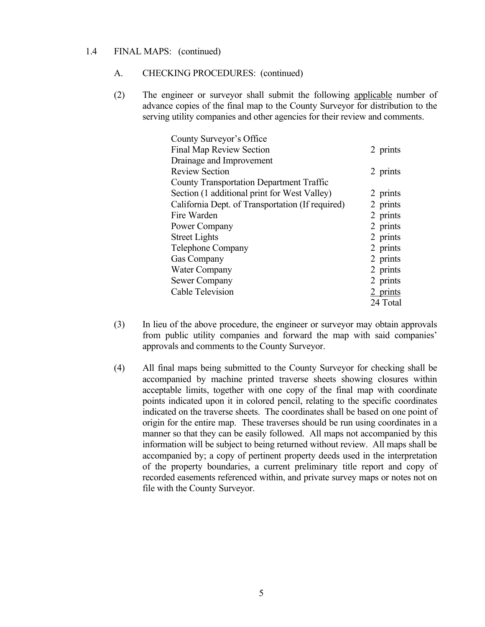#### 1.4 FINAL MAPS: (continued)

#### A. CHECKING PROCEDURES: (continued)

 (2) The engineer or surveyor shall submit the following applicable number of advance copies of the final map to the County Surveyor for distribution to the serving utility companies and other agencies for their review and comments.

| County Surveyor's Office                         |            |
|--------------------------------------------------|------------|
| <b>Final Map Review Section</b>                  | 2 prints   |
| Drainage and Improvement                         |            |
| <b>Review Section</b>                            | 2 prints   |
| <b>County Transportation Department Traffic</b>  |            |
| Section (1 additional print for West Valley)     | 2 prints   |
| California Dept. of Transportation (If required) | 2 prints   |
| Fire Warden                                      | 2 prints   |
| Power Company                                    | 2 prints   |
| <b>Street Lights</b>                             | 2 prints   |
| Telephone Company                                | 2 prints   |
| <b>Gas Company</b>                               | 2 prints   |
| <b>Water Company</b>                             | 2 prints   |
| Sewer Company                                    | 2 prints   |
| <b>Cable Television</b>                          | $2$ prints |
|                                                  | 24 Total   |

- (3) In lieu of the above procedure, the engineer or surveyor may obtain approvals from public utility companies and forward the map with said companies' approvals and comments to the County Surveyor.
- (4) All final maps being submitted to the County Surveyor for checking shall be accompanied by machine printed traverse sheets showing closures within acceptable limits, together with one copy of the final map with coordinate points indicated upon it in colored pencil, relating to the specific coordinates indicated on the traverse sheets. The coordinates shall be based on one point of origin for the entire map. These traverses should be run using coordinates in a manner so that they can be easily followed. All maps not accompanied by this information will be subject to being returned without review. All maps shall be accompanied by; a copy of pertinent property deeds used in the interpretation of the property boundaries, a current preliminary title report and copy of recorded easements referenced within, and private survey maps or notes not on file with the County Surveyor.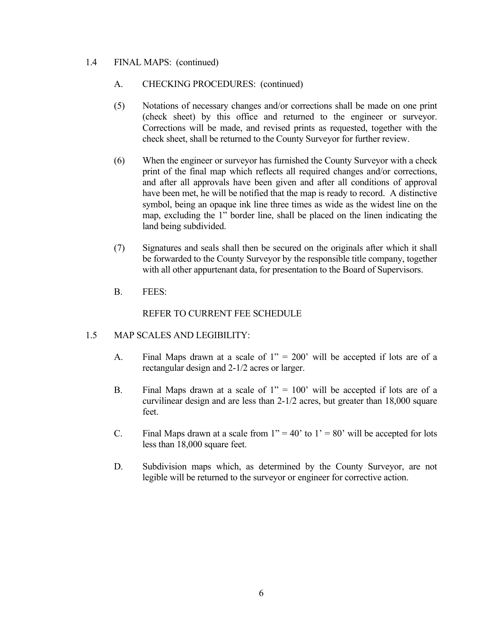### 1.4 FINAL MAPS: (continued)

## A. CHECKING PROCEDURES: (continued)

- (5) Notations of necessary changes and/or corrections shall be made on one print (check sheet) by this office and returned to the engineer or surveyor. Corrections will be made, and revised prints as requested, together with the check sheet, shall be returned to the County Surveyor for further review.
- (6) When the engineer or surveyor has furnished the County Surveyor with a check print of the final map which reflects all required changes and/or corrections, and after all approvals have been given and after all conditions of approval have been met, he will be notified that the map is ready to record. A distinctive symbol, being an opaque ink line three times as wide as the widest line on the map, excluding the 1" border line, shall be placed on the linen indicating the land being subdivided.
- (7) Signatures and seals shall then be secured on the originals after which it shall be forwarded to the County Surveyor by the responsible title company, together with all other appurtenant data, for presentation to the Board of Supervisors.
- B. FEES:

## REFER TO CURRENT FEE SCHEDULE

## 1.5 MAP SCALES AND LEGIBILITY:

- A. Final Maps drawn at a scale of  $1'' = 200'$  will be accepted if lots are of a rectangular design and 2-1/2 acres or larger.
- B. Final Maps drawn at a scale of  $1'' = 100'$  will be accepted if lots are of a curvilinear design and are less than 2-1/2 acres, but greater than 18,000 square feet.
- C. Final Maps drawn at a scale from  $1" = 40'$  to  $1' = 80'$  will be accepted for lots less than 18,000 square feet.
- D. Subdivision maps which, as determined by the County Surveyor, are not legible will be returned to the surveyor or engineer for corrective action.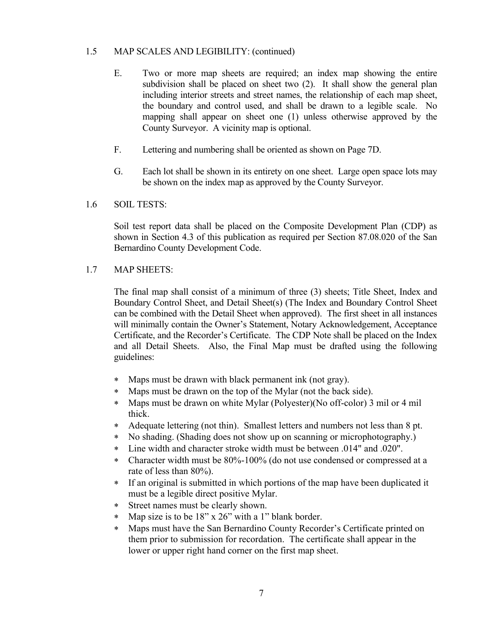### 1.5 MAP SCALES AND LEGIBILITY: (continued)

- E. Two or more map sheets are required; an index map showing the entire subdivision shall be placed on sheet two (2). It shall show the general plan including interior streets and street names, the relationship of each map sheet, the boundary and control used, and shall be drawn to a legible scale. No mapping shall appear on sheet one (1) unless otherwise approved by the County Surveyor. A vicinity map is optional.
- F. Lettering and numbering shall be oriented as shown on Page 7D.
- G. Each lot shall be shown in its entirety on one sheet. Large open space lots may be shown on the index map as approved by the County Surveyor.

#### 1.6 SOIL TESTS:

Soil test report data shall be placed on the Composite Development Plan (CDP) as shown in Section 4.3 of this publication as required per Section 87.08.020 of the San Bernardino County Development Code.

#### 1.7 MAP SHEETS:

The final map shall consist of a minimum of three (3) sheets; Title Sheet, Index and Boundary Control Sheet, and Detail Sheet(s) (The Index and Boundary Control Sheet can be combined with the Detail Sheet when approved). The first sheet in all instances will minimally contain the Owner's Statement, Notary Acknowledgement, Acceptance Certificate, and the Recorder's Certificate. The CDP Note shall be placed on the Index and all Detail Sheets. Also, the Final Map must be drafted using the following guidelines:

- Maps must be drawn with black permanent ink (not gray).
- Maps must be drawn on the top of the Mylar (not the back side).
- Maps must be drawn on white Mylar (Polyester)(No off-color) 3 mil or 4 mil thick.
- Adequate lettering (not thin). Smallest letters and numbers not less than 8 pt.
- No shading. (Shading does not show up on scanning or microphotography.)
- Line width and character stroke width must be between .014" and .020".
- Character width must be 80%-100% (do not use condensed or compressed at a rate of less than 80%).
- If an original is submitted in which portions of the map have been duplicated it must be a legible direct positive Mylar.
- Street names must be clearly shown.
- Map size is to be 18" x 26" with a 1" blank border.
- Maps must have the San Bernardino County Recorder's Certificate printed on them prior to submission for recordation. The certificate shall appear in the lower or upper right hand corner on the first map sheet.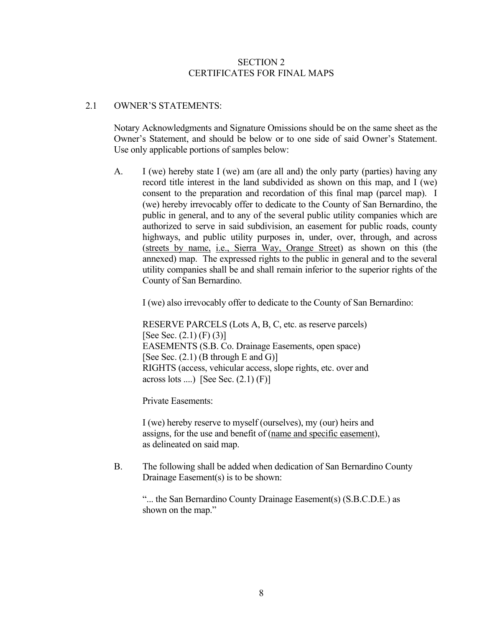#### SECTION 2 CERTIFICATES FOR FINAL MAPS

### 2.1 OWNER'S STATEMENTS:

 Notary Acknowledgments and Signature Omissions should be on the same sheet as the Owner's Statement, and should be below or to one side of said Owner's Statement. Use only applicable portions of samples below:

 A. I (we) hereby state I (we) am (are all and) the only party (parties) having any record title interest in the land subdivided as shown on this map, and I (we) consent to the preparation and recordation of this final map (parcel map). I (we) hereby irrevocably offer to dedicate to the County of San Bernardino, the public in general, and to any of the several public utility companies which are authorized to serve in said subdivision, an easement for public roads, county highways, and public utility purposes in, under, over, through, and across (streets by name, i.e., Sierra Way, Orange Street) as shown on this (the annexed) map. The expressed rights to the public in general and to the several utility companies shall be and shall remain inferior to the superior rights of the County of San Bernardino.

I (we) also irrevocably offer to dedicate to the County of San Bernardino:

 RESERVE PARCELS (Lots A, B, C, etc. as reserve parcels) [See Sec.  $(2.1)$  (F)  $(3)$ ] EASEMENTS (S.B. Co. Drainage Easements, open space) [See Sec.  $(2.1)$  (B through E and G)] RIGHTS (access, vehicular access, slope rights, etc. over and across lots ....) [See Sec.  $(2.1)$  (F)]

Private Easements:

 I (we) hereby reserve to myself (ourselves), my (our) heirs and assigns, for the use and benefit of (name and specific easement), as delineated on said map.

B. The following shall be added when dedication of San Bernardino County Drainage Easement(s) is to be shown:

 "... the San Bernardino County Drainage Easement(s) (S.B.C.D.E.) as shown on the map."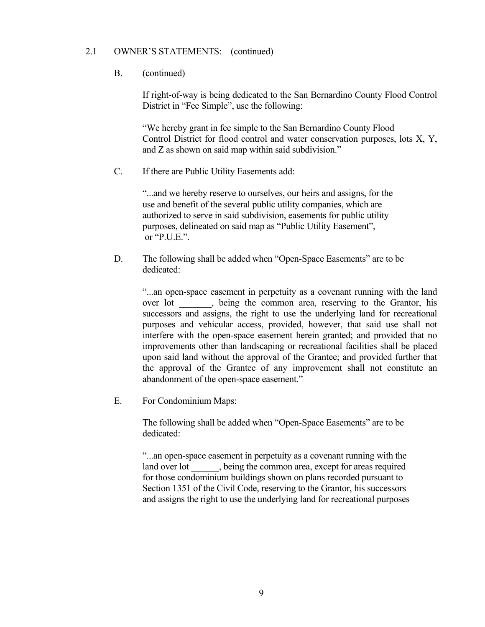#### 2.1 OWNER'S STATEMENTS: (continued)

### B. (continued)

If right-of-way is being dedicated to the San Bernardino County Flood Control District in "Fee Simple", use the following:

 "We hereby grant in fee simple to the San Bernardino County Flood Control District for flood control and water conservation purposes, lots X, Y, and Z as shown on said map within said subdivision."

C. If there are Public Utility Easements add:

 "...and we hereby reserve to ourselves, our heirs and assigns, for the use and benefit of the several public utility companies, which are authorized to serve in said subdivision, easements for public utility purposes, delineated on said map as "Public Utility Easement", or "P.U.E.".

 D. The following shall be added when "Open-Space Easements" are to be dedicated:

 "...an open-space easement in perpetuity as a covenant running with the land over lot \_\_\_\_\_\_\_, being the common area, reserving to the Grantor, his successors and assigns, the right to use the underlying land for recreational purposes and vehicular access, provided, however, that said use shall not interfere with the open-space easement herein granted; and provided that no improvements other than landscaping or recreational facilities shall be placed upon said land without the approval of the Grantee; and provided further that the approval of the Grantee of any improvement shall not constitute an abandonment of the open-space easement."

E. For Condominium Maps:

The following shall be added when "Open-Space Easements" are to be dedicated:

 "...an open-space easement in perpetuity as a covenant running with the land over lot , being the common area, except for areas required for those condominium buildings shown on plans recorded pursuant to Section 1351 of the Civil Code, reserving to the Grantor, his successors and assigns the right to use the underlying land for recreational purposes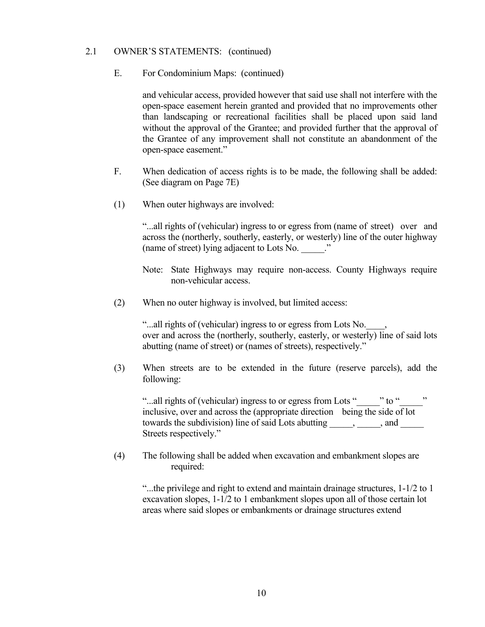#### 2.1 OWNER'S STATEMENTS: (continued)

E. For Condominium Maps: (continued)

 and vehicular access, provided however that said use shall not interfere with the open-space easement herein granted and provided that no improvements other than landscaping or recreational facilities shall be placed upon said land without the approval of the Grantee; and provided further that the approval of the Grantee of any improvement shall not constitute an abandonment of the open-space easement."

- F. When dedication of access rights is to be made, the following shall be added: (See diagram on Page 7E)
- (1) When outer highways are involved:

 "...all rights of (vehicular) ingress to or egress from (name of street) over and across the (northerly, southerly, easterly, or westerly) line of the outer highway (name of street) lying adjacent to Lots No. \_\_\_\_\_."

- Note: State Highways may require non-access. County Highways require non-vehicular access.
- (2) When no outer highway is involved, but limited access:

"...all rights of (vehicular) ingress to or egress from Lots No. over and across the (northerly, southerly, easterly, or westerly) line of said lots abutting (name of street) or (names of streets), respectively."

 (3) When streets are to be extended in the future (reserve parcels), add the following:

"...all rights of (vehicular) ingress to or egress from Lots "\_\_\_\_\_" to "\_\_\_\_" inclusive, over and across the (appropriate direction being the side of lot towards the subdivision) line of said Lots abutting from the subdivision and  $\sim$ Streets respectively."

 (4) The following shall be added when excavation and embankment slopes are required:

"...the privilege and right to extend and maintain drainage structures, 1-1/2 to 1 excavation slopes, 1-1/2 to 1 embankment slopes upon all of those certain lot areas where said slopes or embankments or drainage structures extend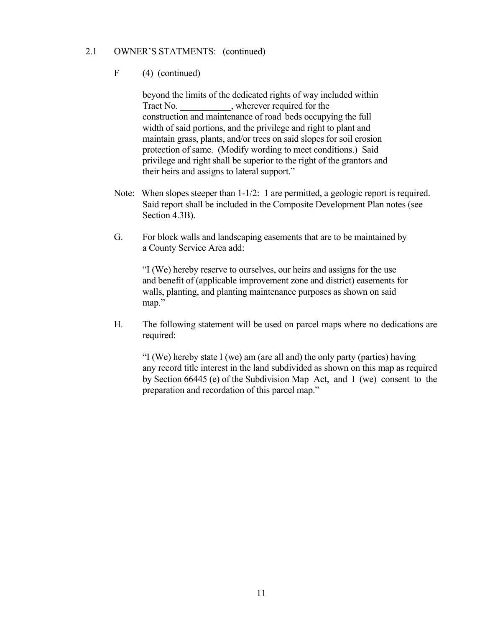### 2.1 OWNER'S STATMENTS: (continued)

### F (4) (continued)

beyond the limits of the dedicated rights of way included within Tract No. \_\_\_\_\_\_\_\_\_\_\_, wherever required for the construction and maintenance of road beds occupying the full width of said portions, and the privilege and right to plant and maintain grass, plants, and/or trees on said slopes for soil erosion protection of same. (Modify wording to meet conditions.) Said privilege and right shall be superior to the right of the grantors and their heirs and assigns to lateral support."

- Note: When slopes steeper than 1-1/2: 1 are permitted, a geologic report is required. Said report shall be included in the Composite Development Plan notes (see Section 4.3B).
- G. For block walls and landscaping easements that are to be maintained by a County Service Area add:

 "I (We) hereby reserve to ourselves, our heirs and assigns for the use and benefit of (applicable improvement zone and district) easements for walls, planting, and planting maintenance purposes as shown on said map."

 H. The following statement will be used on parcel maps where no dedications are required:

 "I (We) hereby state I (we) am (are all and) the only party (parties) having any record title interest in the land subdivided as shown on this map as required by Section 66445 (e) of the Subdivision Map Act, and I (we) consent to the preparation and recordation of this parcel map."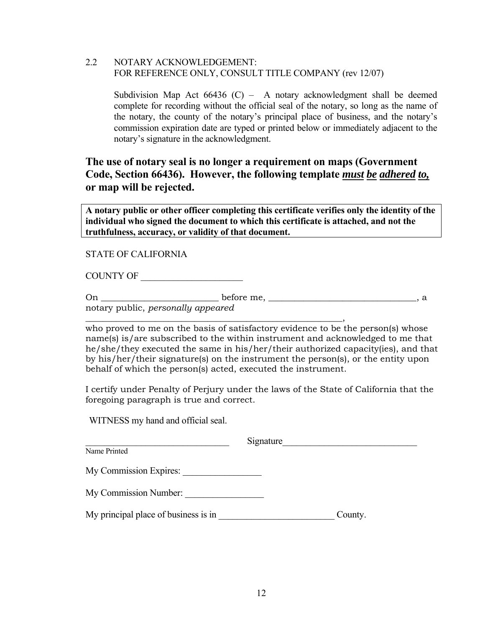### 2.2 NOTARY ACKNOWLEDGEMENT: FOR REFERENCE ONLY, CONSULT TITLE COMPANY (rev 12/07)

Subdivision Map Act  $66436$  (C) – A notary acknowledgment shall be deemed complete for recording without the official seal of the notary, so long as the name of the notary, the county of the notary's principal place of business, and the notary's commission expiration date are typed or printed below or immediately adjacent to the notary's signature in the acknowledgment.

# **The use of notary seal is no longer a requirement on maps (Government Code, Section 66436). However, the following template** *must be adhered to,* **or map will be rejected.**

**A notary public or other officer completing this certificate verifies only the identity of the individual who signed the document to which this certificate is attached, and not the truthfulness, accuracy, or validity of that document.** 

STATE OF CALIFORNIA

COUNTY OF \_\_\_\_\_\_\_\_\_\_\_\_\_\_\_\_\_\_\_\_\_\_

On \_\_\_\_\_\_\_\_\_\_\_\_\_\_\_\_\_\_\_\_\_\_\_\_\_\_\_ before me, \_\_\_\_\_\_\_\_\_\_\_\_\_\_\_\_\_\_\_\_\_\_\_\_\_\_\_\_\_\_\_\_\_\_, a notary public, *personally appeared* 

*\_*\_\_\_\_\_\_\_\_\_\_\_\_\_\_\_\_\_\_\_\_\_\_\_\_\_\_\_\_\_\_\_\_\_\_\_\_\_\_\_\_\_\_\_\_\_\_\_\_\_\_\_\_\_\_\_\_\_\_,

who proved to me on the basis of satisfactory evidence to be the person(s) whose name(s) is/are subscribed to the within instrument and acknowledged to me that he/she/they executed the same in his/her/their authorized capacity(ies), and that by his/her/their signature(s) on the instrument the person(s), or the entity upon behalf of which the person(s) acted, executed the instrument.

I certify under Penalty of Perjury under the laws of the State of California that the foregoing paragraph is true and correct.

WITNESS my hand and official seal.

| Signature                            |         |
|--------------------------------------|---------|
| Name Printed                         |         |
| My Commission Expires:               |         |
| My Commission Number:                |         |
| My principal place of business is in | County. |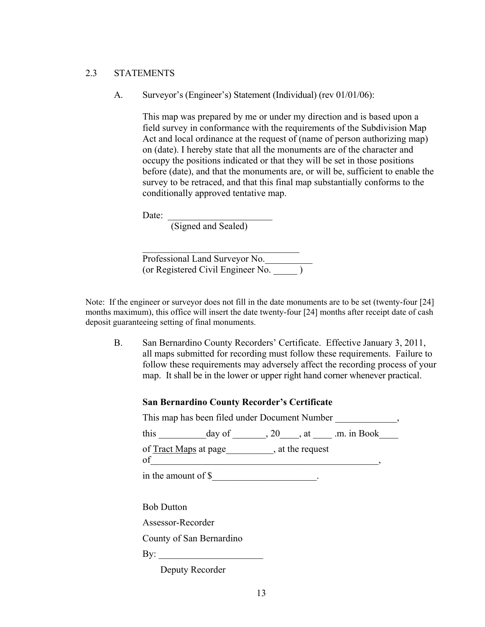#### 2.3 STATEMENTS

A. Surveyor's (Engineer's) Statement (Individual) (rev 01/01/06):

 This map was prepared by me or under my direction and is based upon a field survey in conformance with the requirements of the Subdivision Map Act and local ordinance at the request of (name of person authorizing map) on (date). I hereby state that all the monuments are of the character and occupy the positions indicated or that they will be set in those positions before (date), and that the monuments are, or will be, sufficient to enable the survey to be retraced, and that this final map substantially conforms to the conditionally approved tentative map.

Date:

(Signed and Sealed)

 Professional Land Surveyor No.\_\_\_\_\_\_\_\_\_\_ (or Registered Civil Engineer No. \_\_\_\_\_ )

Note: If the engineer or surveyor does not fill in the date monuments are to be set (twenty-four [24] months maximum), this office will insert the date twenty-four [24] months after receipt date of cash deposit guaranteeing setting of final monuments.

 B. San Bernardino County Recorders' Certificate. Effective January 3, 2011, all maps submitted for recording must follow these requirements. Failure to follow these requirements may adversely affect the recording process of your map. It shall be in the lower or upper right hand corner whenever practical.

#### **San Bernardino County Recorder's Certificate**

| This map has been filed under Document Number                               |
|-----------------------------------------------------------------------------|
| this $\frac{day \text{ of } 20, x \text{ at } 20 \text{ m. in Book}}{1000}$ |
| of <u>Tract Maps</u> at page , at the request<br>$\circ$ f                  |
| in the amount of \$                                                         |
|                                                                             |
| <b>Bob Dutton</b>                                                           |
| Assessor-Recorder                                                           |
| County of San Bernardino                                                    |
| $\gamma$ :                                                                  |
| Deputy Recorder                                                             |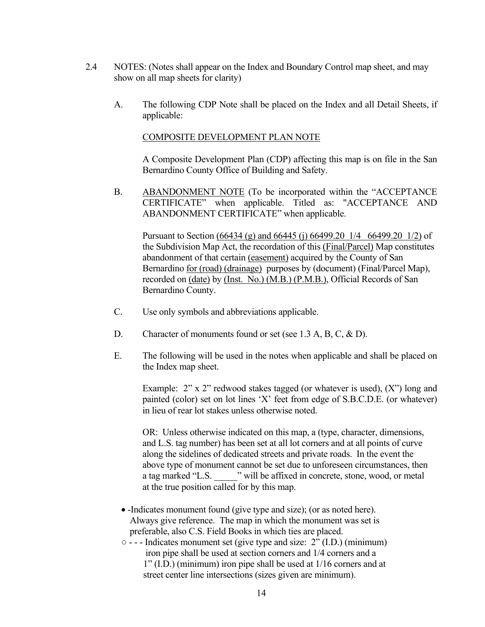- 2.4 NOTES: (Notes shall appear on the Index and Boundary Control map sheet, and may show on all map sheets for clarity)
	- A. The following CDP Note shall be placed on the Index and all Detail Sheets, if applicable:

### COMPOSITE DEVELOPMENT PLAN NOTE

 A Composite Development Plan (CDP) affecting this map is on file in the San Bernardino County Office of Building and Safety.

 B. ABANDONMENT NOTE (To be incorporated within the "ACCEPTANCE CERTIFICATE" when applicable. Titled as: "ACCEPTANCE AND ABANDONMENT CERTIFICATE" when applicable.

 Pursuant to Section (66434 (g) and 66445 (j) 66499.20 1/4 66499.20 1/2) of the Subdivision Map Act, the recordation of this (Final/Parcel) Map constitutes abandonment of that certain (easement) acquired by the County of San Bernardino for (road) (drainage) purposes by (document) (Final/Parcel Map), recorded on (date) by (Inst. No.) (M.B.) (P.M.B.), Official Records of San Bernardino County.

- C. Use only symbols and abbreviations applicable.
- D. Character of monuments found or set (see 1.3 A, B, C, & D).
- E. The following will be used in the notes when applicable and shall be placed on the Index map sheet.

Example: 2" x 2" redwood stakes tagged (or whatever is used), (X") long and painted (color) set on lot lines 'X' feet from edge of S.B.C.D.E. (or whatever) in lieu of rear lot stakes unless otherwise noted.

 OR: Unless otherwise indicated on this map, a (type, character, dimensions, and L.S. tag number) has been set at all lot corners and at all points of curve along the sidelines of dedicated streets and private roads. In the event the above type of monument cannot be set due to unforeseen circumstances, then a tag marked "L.S. \_\_\_\_\_" will be affixed in concrete, stone, wood, or metal at the true position called for by this map.

- Indicates monument found (give type and size); (or as noted here). Always give reference. The map in which the monument was set is preferable, also C.S. Field Books in which ties are placed.
- - - Indicates monument set (give type and size: 2" (I.D.) (minimum) iron pipe shall be used at section corners and 1/4 corners and a 1" (I.D.) (minimum) iron pipe shall be used at 1/16 corners and at street center line intersections (sizes given are minimum).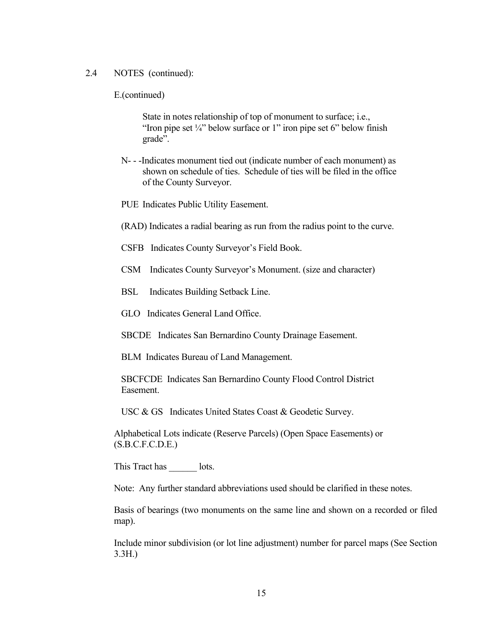#### 2.4 NOTES (continued):

E.(continued)

 State in notes relationship of top of monument to surface; i.e., "Iron pipe set  $\frac{1}{4}$ " below surface or 1" iron pipe set 6" below finish grade".

- N- -Indicates monument tied out (indicate number of each monument) as shown on schedule of ties. Schedule of ties will be filed in the office of the County Surveyor.
- PUE Indicates Public Utility Easement.
- (RAD) Indicates a radial bearing as run from the radius point to the curve.
- CSFB Indicates County Surveyor's Field Book.
- CSM Indicates County Surveyor's Monument. (size and character)
- BSL Indicates Building Setback Line.
- GLO Indicates General Land Office.

SBCDE Indicates San Bernardino County Drainage Easement.

BLM Indicates Bureau of Land Management.

 SBCFCDE Indicates San Bernardino County Flood Control District Easement.

USC & GS Indicates United States Coast & Geodetic Survey.

 Alphabetical Lots indicate (Reserve Parcels) (Open Space Easements) or  $(S.B.C.F.C.D.E.)$ 

This Tract has lots.

Note: Any further standard abbreviations used should be clarified in these notes.

 Basis of bearings (two monuments on the same line and shown on a recorded or filed map).

 Include minor subdivision (or lot line adjustment) number for parcel maps (See Section 3.3H.)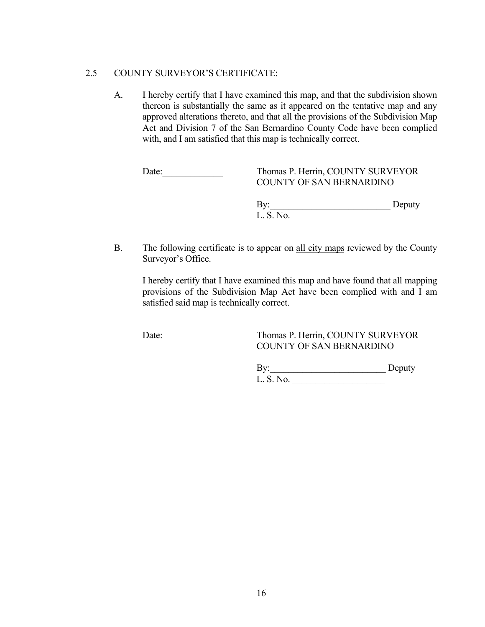## 2.5 COUNTY SURVEYOR'S CERTIFICATE:

 A. I hereby certify that I have examined this map, and that the subdivision shown thereon is substantially the same as it appeared on the tentative map and any approved alterations thereto, and that all the provisions of the Subdivision Map Act and Division 7 of the San Bernardino County Code have been complied with, and I am satisfied that this map is technically correct.

| Date: | Thomas P. Herrin, COUNTY SURVEYOR<br>COUNTY OF SAN BERNARDINO |        |
|-------|---------------------------------------------------------------|--------|
|       | Bv:                                                           | Deputy |

L. S. No.

B. The following certificate is to appear on all city maps reviewed by the County Surveyor's Office.

 I hereby certify that I have examined this map and have found that all mapping provisions of the Subdivision Map Act have been complied with and I am satisfied said map is technically correct.

## Date: Thomas P. Herrin, COUNTY SURVEYOR COUNTY OF SAN BERNARDINO

By: Deputy L. S. No.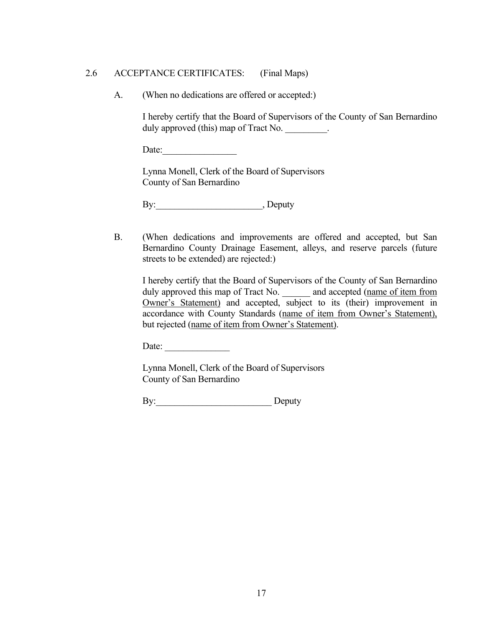### 2.6 ACCEPTANCE CERTIFICATES: (Final Maps)

A. (When no dedications are offered or accepted:)

 I hereby certify that the Board of Supervisors of the County of San Bernardino duly approved (this) map of Tract No.

Date:

 Lynna Monell, Clerk of the Board of Supervisors County of San Bernardino

By: Deputy

 B. (When dedications and improvements are offered and accepted, but San Bernardino County Drainage Easement, alleys, and reserve parcels (future streets to be extended) are rejected:)

 I hereby certify that the Board of Supervisors of the County of San Bernardino duly approved this map of Tract No. <br>and accepted (name of item from Owner's Statement) and accepted, subject to its (their) improvement in accordance with County Standards (name of item from Owner's Statement), but rejected (name of item from Owner's Statement).

Date:

 Lynna Monell, Clerk of the Board of Supervisors County of San Bernardino

By: Deputy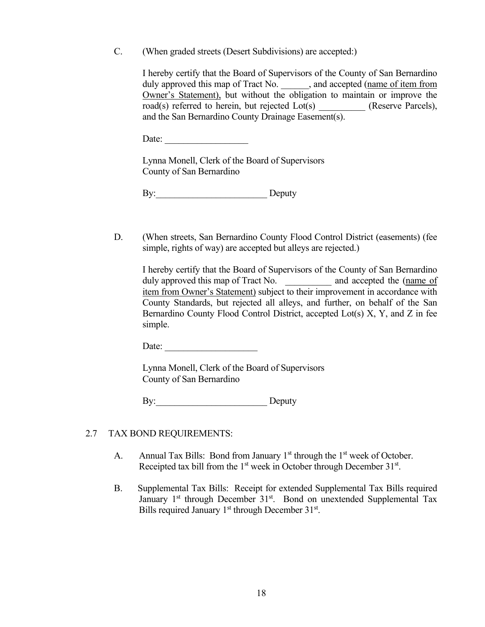C. (When graded streets (Desert Subdivisions) are accepted:)

 I hereby certify that the Board of Supervisors of the County of San Bernardino duly approved this map of Tract No. \_\_\_\_\_\_, and accepted (name of item from Owner's Statement), but without the obligation to maintain or improve the road(s) referred to herein, but rejected Lot(s) \_\_\_\_\_\_\_\_\_\_ (Reserve Parcels), and the San Bernardino County Drainage Easement(s).

Date:

 Lynna Monell, Clerk of the Board of Supervisors County of San Bernardino

By: Deputy

 D. (When streets, San Bernardino County Flood Control District (easements) (fee simple, rights of way) are accepted but alleys are rejected.)

 I hereby certify that the Board of Supervisors of the County of San Bernardino duly approved this map of Tract No. \_\_\_\_\_\_\_\_\_\_\_\_\_ and accepted the (name of item from Owner's Statement) subject to their improvement in accordance with County Standards, but rejected all alleys, and further, on behalf of the San Bernardino County Flood Control District, accepted Lot(s) X, Y, and Z in fee simple.

Date:

 Lynna Monell, Clerk of the Board of Supervisors County of San Bernardino

By: Deputy

#### 2.7 TAX BOND REQUIREMENTS:

- A. Annual Tax Bills: Bond from January  $1<sup>st</sup>$  through the  $1<sup>st</sup>$  week of October. Receipted tax bill from the  $1<sup>st</sup>$  week in October through December  $31<sup>st</sup>$ .
- B. Supplemental Tax Bills: Receipt for extended Supplemental Tax Bills required January  $1<sup>st</sup>$  through December  $31<sup>st</sup>$ . Bond on unextended Supplemental Tax Bills required January 1<sup>st</sup> through December 31<sup>st</sup>.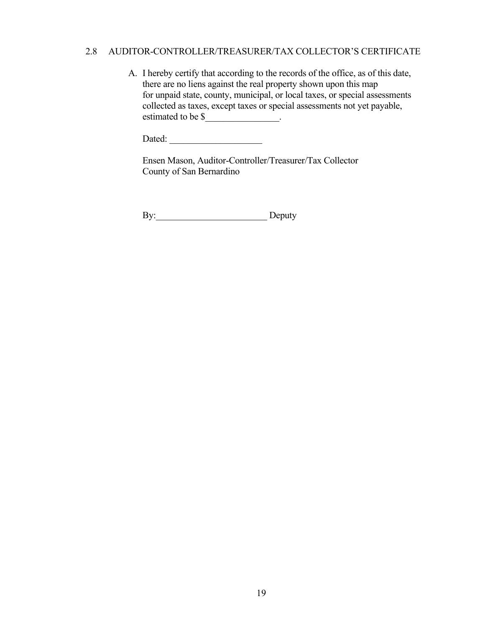### 2.8 AUDITOR-CONTROLLER/TREASURER/TAX COLLECTOR'S CERTIFICATE

 A. I hereby certify that according to the records of the office, as of this date, there are no liens against the real property shown upon this map for unpaid state, county, municipal, or local taxes, or special assessments collected as taxes, except taxes or special assessments not yet payable, estimated to be \$\_\_\_\_\_\_\_\_\_\_\_\_\_\_\_\_.

Dated:

 Ensen Mason, Auditor-Controller/Treasurer/Tax Collector County of San Bernardino

By: Deputy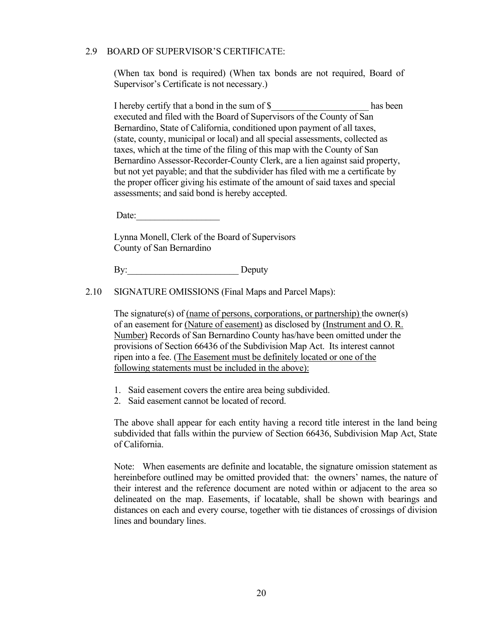#### 2.9 BOARD OF SUPERVISOR'S CERTIFICATE:

 (When tax bond is required) (When tax bonds are not required, Board of Supervisor's Certificate is not necessary.)

I hereby certify that a bond in the sum of \$ has been executed and filed with the Board of Supervisors of the County of San Bernardino, State of California, conditioned upon payment of all taxes, (state, county, municipal or local) and all special assessments, collected as taxes, which at the time of the filing of this map with the County of San Bernardino Assessor-Recorder-County Clerk, are a lien against said property, but not yet payable; and that the subdivider has filed with me a certificate by the proper officer giving his estimate of the amount of said taxes and special assessments; and said bond is hereby accepted.

Date:

 Lynna Monell, Clerk of the Board of Supervisors County of San Bernardino

By: Deputy

2.10 SIGNATURE OMISSIONS (Final Maps and Parcel Maps):

The signature(s) of (name of persons, corporations, or partnership) the owner(s) of an easement for (Nature of easement) as disclosed by (Instrument and O. R. Number) Records of San Bernardino County has/have been omitted under the provisions of Section 66436 of the Subdivision Map Act. Its interest cannot ripen into a fee. (The Easement must be definitely located or one of the following statements must be included in the above):

- 1. Said easement covers the entire area being subdivided.
- 2. Said easement cannot be located of record.

 The above shall appear for each entity having a record title interest in the land being subdivided that falls within the purview of Section 66436, Subdivision Map Act, State of California.

 Note: When easements are definite and locatable, the signature omission statement as hereinbefore outlined may be omitted provided that: the owners' names, the nature of their interest and the reference document are noted within or adjacent to the area so delineated on the map. Easements, if locatable, shall be shown with bearings and distances on each and every course, together with tie distances of crossings of division lines and boundary lines.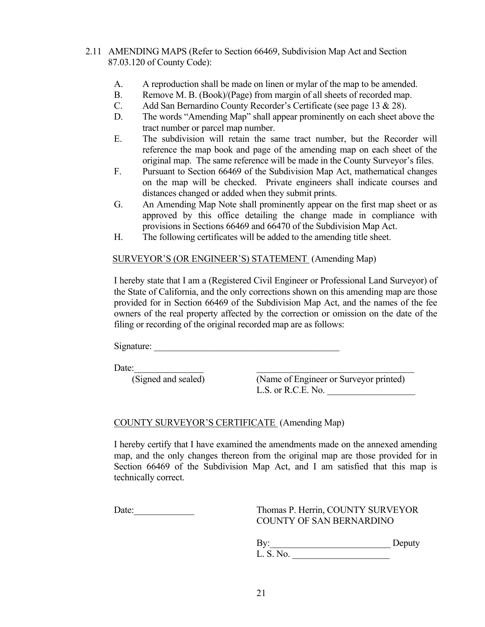## 2.11 AMENDING MAPS (Refer to Section 66469, Subdivision Map Act and Section 87.03.120 of County Code):

- A. A reproduction shall be made on linen or mylar of the map to be amended.
- B. Remove M. B. (Book)/(Page) from margin of all sheets of recorded map.
- C. Add San Bernardino County Recorder's Certificate (see page 13 & 28).
- D. The words "Amending Map" shall appear prominently on each sheet above the tract number or parcel map number.
- E. The subdivision will retain the same tract number, but the Recorder will reference the map book and page of the amending map on each sheet of the original map. The same reference will be made in the County Surveyor's files.
- F. Pursuant to Section 66469 of the Subdivision Map Act, mathematical changes on the map will be checked. Private engineers shall indicate courses and distances changed or added when they submit prints.
- G. An Amending Map Note shall prominently appear on the first map sheet or as approved by this office detailing the change made in compliance with provisions in Sections 66469 and 66470 of the Subdivision Map Act.
- H. The following certificates will be added to the amending title sheet.

#### SURVEYOR'S (OR ENGINEER'S) STATEMENT (Amending Map)

 I hereby state that I am a (Registered Civil Engineer or Professional Land Surveyor) of the State of California, and the only corrections shown on this amending map are those provided for in Section 66469 of the Subdivision Map Act, and the names of the fee owners of the real property affected by the correction or omission on the date of the filing or recording of the original recorded map are as follows:

Signature:

Date:

 (Signed and sealed) (Name of Engineer or Surveyor printed) L.S. or R.C.E. No.

### COUNTY SURVEYOR'S CERTIFICATE (Amending Map)

I hereby certify that I have examined the amendments made on the annexed amending map, and the only changes thereon from the original map are those provided for in Section 66469 of the Subdivision Map Act, and I am satisfied that this map is technically correct.

Date: Thomas P. Herrin, COUNTY SURVEYOR COUNTY OF SAN BERNARDINO

> By: Deputy L. S. No. \_\_\_\_\_\_\_\_\_\_\_\_\_\_\_\_\_\_\_\_\_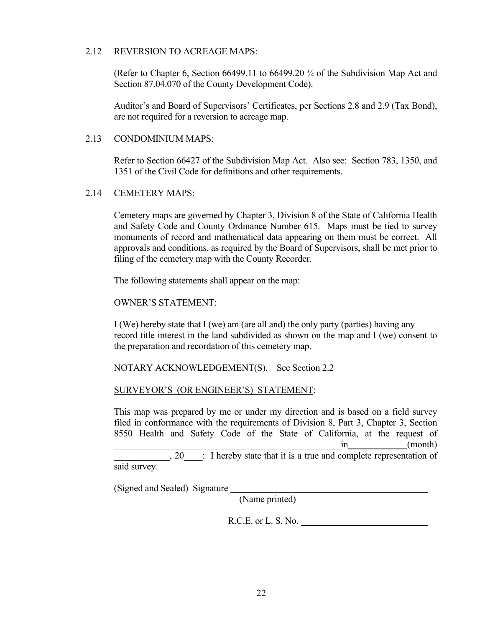#### 2.12 REVERSION TO ACREAGE MAPS:

 (Refer to Chapter 6, Section 66499.11 to 66499.20 ¾ of the Subdivision Map Act and Section 87.04.070 of the County Development Code).

 Auditor's and Board of Supervisors' Certificates, per Sections 2.8 and 2.9 (Tax Bond), are not required for a reversion to acreage map.

### 2.13 CONDOMINIUM MAPS:

 Refer to Section 66427 of the Subdivision Map Act. Also see: Section 783, 1350, and 1351 of the Civil Code for definitions and other requirements.

### 2.14 CEMETERY MAPS:

 Cemetery maps are governed by Chapter 3, Division 8 of the State of California Health and Safety Code and County Ordinance Number 615. Maps must be tied to survey monuments of record and mathematical data appearing on them must be correct. All approvals and conditions, as required by the Board of Supervisors, shall be met prior to filing of the cemetery map with the County Recorder.

The following statements shall appear on the map:

#### OWNER'S STATEMENT:

 I (We) hereby state that I (we) am (are all and) the only party (parties) having any record title interest in the land subdivided as shown on the map and I (we) consent to the preparation and recordation of this cemetery map.

NOTARY ACKNOWLEDGEMENT(S), See Section 2.2

### SURVEYOR'S (OR ENGINEER'S) STATEMENT:

 This map was prepared by me or under my direction and is based on a field survey filed in conformance with the requirements of Division 8, Part 3, Chapter 3, Section 8550 Health and Safety Code of the State of California, at the request of  $\sin$  (month) \_\_\_\_\_\_\_\_\_\_\_\_, 20\_\_\_\_: I hereby state that it is a true and complete representation of

said survey.

(Signed and Sealed) Signature

(Name printed)

R.C.E. or L. S. No.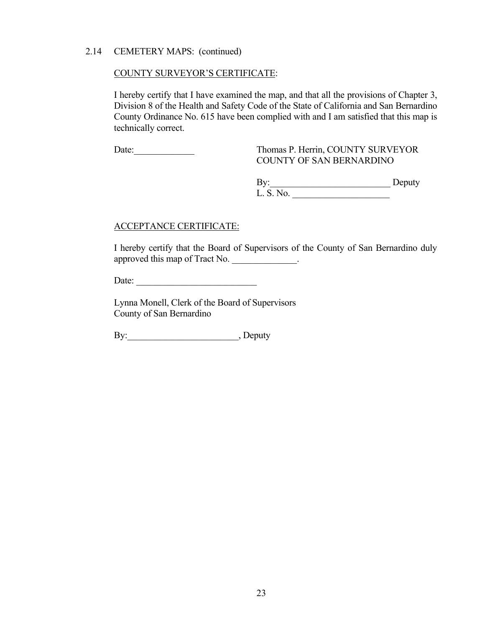### 2.14 CEMETERY MAPS: (continued)

#### COUNTY SURVEYOR'S CERTIFICATE:

 I hereby certify that I have examined the map, and that all the provisions of Chapter 3, Division 8 of the Health and Safety Code of the State of California and San Bernardino County Ordinance No. 615 have been complied with and I am satisfied that this map is technically correct.

Date: Thomas P. Herrin, COUNTY SURVEYOR COUNTY OF SAN BERNARDINO

> By: Deputy L. S. No. \_\_\_\_\_\_\_\_\_\_\_\_\_\_\_\_\_\_\_\_\_

#### ACCEPTANCE CERTIFICATE:

 I hereby certify that the Board of Supervisors of the County of San Bernardino duly approved this map of Tract No.

Date: \_\_\_\_\_\_\_\_\_\_\_\_\_\_\_\_\_\_\_\_\_\_\_\_\_\_

 Lynna Monell, Clerk of the Board of Supervisors County of San Bernardino

By: Deputy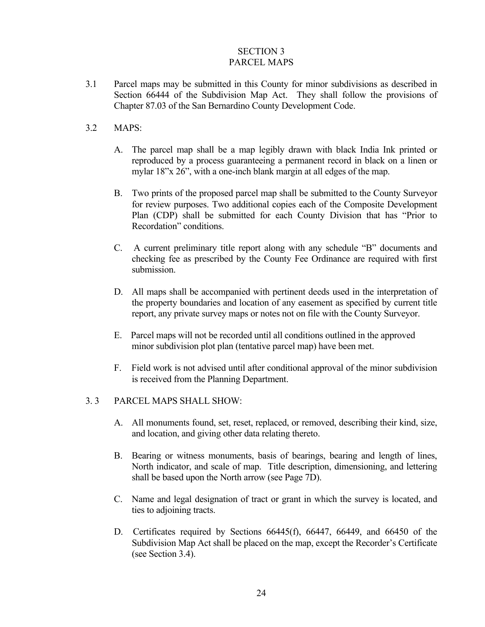### SECTION 3 PARCEL MAPS

3.1 Parcel maps may be submitted in this County for minor subdivisions as described in Section 66444 of the Subdivision Map Act. They shall follow the provisions of Chapter 87.03 of the San Bernardino County Development Code.

## 3.2 MAPS:

- A. The parcel map shall be a map legibly drawn with black India Ink printed or reproduced by a process guaranteeing a permanent record in black on a linen or mylar 18"x 26", with a one-inch blank margin at all edges of the map.
- B. Two prints of the proposed parcel map shall be submitted to the County Surveyor for review purposes. Two additional copies each of the Composite Development Plan (CDP) shall be submitted for each County Division that has "Prior to Recordation" conditions.
- C. A current preliminary title report along with any schedule "B" documents and checking fee as prescribed by the County Fee Ordinance are required with first submission.
- D. All maps shall be accompanied with pertinent deeds used in the interpretation of the property boundaries and location of any easement as specified by current title report, any private survey maps or notes not on file with the County Surveyor.
- E. Parcel maps will not be recorded until all conditions outlined in the approved minor subdivision plot plan (tentative parcel map) have been met.
- F. Field work is not advised until after conditional approval of the minor subdivision is received from the Planning Department.

### 3. 3 PARCEL MAPS SHALL SHOW:

- A. All monuments found, set, reset, replaced, or removed, describing their kind, size, and location, and giving other data relating thereto.
- B. Bearing or witness monuments, basis of bearings, bearing and length of lines, North indicator, and scale of map. Title description, dimensioning, and lettering shall be based upon the North arrow (see Page 7D).
- C. Name and legal designation of tract or grant in which the survey is located, and ties to adjoining tracts.
- D. Certificates required by Sections 66445(f), 66447, 66449, and 66450 of the Subdivision Map Act shall be placed on the map, except the Recorder's Certificate (see Section 3.4).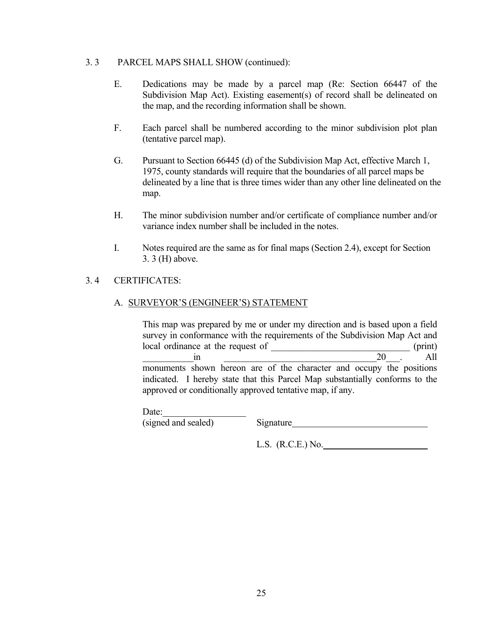### 3. 3 PARCEL MAPS SHALL SHOW (continued):

- E. Dedications may be made by a parcel map (Re: Section 66447 of the Subdivision Map Act). Existing easement(s) of record shall be delineated on the map, and the recording information shall be shown.
- F. Each parcel shall be numbered according to the minor subdivision plot plan (tentative parcel map).
- G. Pursuant to Section 66445 (d) of the Subdivision Map Act, effective March 1, 1975, county standards will require that the boundaries of all parcel maps be delineated by a line that is three times wider than any other line delineated on the map.
- H. The minor subdivision number and/or certificate of compliance number and/or variance index number shall be included in the notes.
- I. Notes required are the same as for final maps (Section 2.4), except for Section 3. 3 (H) above.

## 3. 4 CERTIFICATES:

## A. SURVEYOR'S (ENGINEER'S) STATEMENT

 This map was prepared by me or under my direction and is based upon a field survey in conformance with the requirements of the Subdivision Map Act and local ordinance at the request of  $(print)$  $\sin$  20  $\cdots$  All monuments shown hereon are of the character and occupy the positions indicated. I hereby state that this Parcel Map substantially conforms to the approved or conditionally approved tentative map, if any.

Date:

(signed and sealed) Signature

L.S. (R.C.E.) No.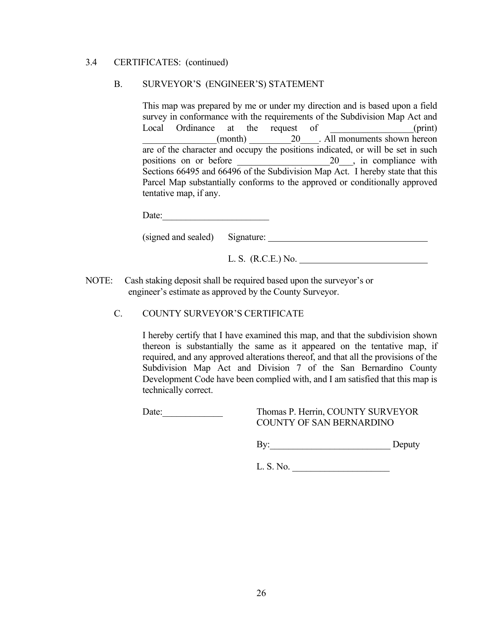#### 3.4 CERTIFICATES: (continued)

### B. SURVEYOR'S (ENGINEER'S) STATEMENT

 This map was prepared by me or under my direction and is based upon a field survey in conformance with the requirements of the Subdivision Map Act and Local Ordinance at the request of  $(print)$ (month)  $20$  . All monuments shown hereon are of the character and occupy the positions indicated, or will be set in such positions on or before 20 for  $\frac{1}{20}$  and  $\frac{1}{20}$  compliance with Sections 66495 and 66496 of the Subdivision Map Act. I hereby state that this Parcel Map substantially conforms to the approved or conditionally approved tentative map, if any.

(signed and sealed) Signature:

L. S. (R.C.E.) No.

- NOTE: Cash staking deposit shall be required based upon the surveyor's or engineer's estimate as approved by the County Surveyor.
	- C. COUNTY SURVEYOR'S CERTIFICATE

 I hereby certify that I have examined this map, and that the subdivision shown thereon is substantially the same as it appeared on the tentative map, if required, and any approved alterations thereof, and that all the provisions of the Subdivision Map Act and Division 7 of the San Bernardino County Development Code have been complied with, and I am satisfied that this map is technically correct.

Date: Thomas P. Herrin, COUNTY SURVEYOR COUNTY OF SAN BERNARDINO

By: Deputy

L. S. No. \_\_\_\_\_\_\_\_\_\_\_\_\_\_\_\_\_\_\_\_\_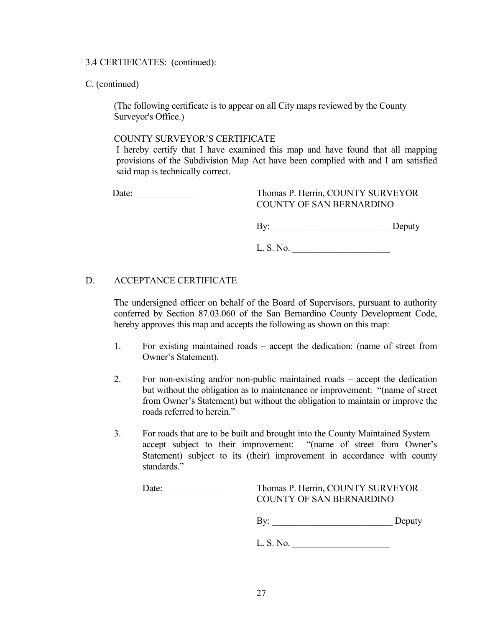#### 3.4 CERTIFICATES: (continued):

### C. (continued)

(The following certificate is to appear on all City maps reviewed by the County Surveyor's Office.)

### COUNTY SURVEYOR'S CERTIFICATE

 I hereby certify that I have examined this map and have found that all mapping provisions of the Subdivision Map Act have been complied with and I am satisfied said map is technically correct.

 Date: \_\_\_\_\_\_\_\_\_\_\_\_\_ Thomas P. Herrin, COUNTY SURVEYOR COUNTY OF SAN BERNARDINO

By: \_\_\_\_\_\_\_\_\_\_\_\_\_\_\_\_\_\_\_\_\_\_\_\_\_\_Deputy

L. S. No. \_\_\_\_\_\_\_\_\_\_\_\_\_\_\_\_\_\_\_\_\_

## D. ACCEPTANCE CERTIFICATE

 The undersigned officer on behalf of the Board of Supervisors, pursuant to authority conferred by Section 87.03.060 of the San Bernardino County Development Code, hereby approves this map and accepts the following as shown on this map:

- 1. For existing maintained roads accept the dedication: (name of street from Owner's Statement).
- 2. For non-existing and/or non-public maintained roads accept the dedication but without the obligation as to maintenance or improvement: "(name of street from Owner's Statement) but without the obligation to maintain or improve the roads referred to herein."
- 3. For roads that are to be built and brought into the County Maintained System accept subject to their improvement: "(name of street from Owner's Statement) subject to its (their) improvement in accordance with county standards."

## Date: \_\_\_\_\_\_\_\_\_\_\_\_\_ Thomas P. Herrin, COUNTY SURVEYOR COUNTY OF SAN BERNARDINO

By: \_\_\_\_\_\_\_\_\_\_\_\_\_\_\_\_\_\_\_\_\_\_\_\_\_\_ Deputy

L. S. No. \_\_\_\_\_\_\_\_\_\_\_\_\_\_\_\_\_\_\_\_\_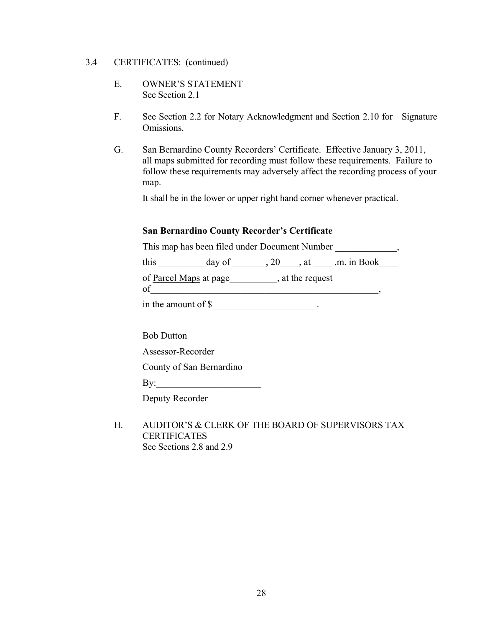#### 3.4 CERTIFICATES: (continued)

- E. OWNER'S STATEMENT See Section 2.1
- F. See Section 2.2 for Notary Acknowledgment and Section 2.10 for Signature Omissions.
- G. San Bernardino County Recorders' Certificate. Effective January 3, 2011, all maps submitted for recording must follow these requirements. Failure to follow these requirements may adversely affect the recording process of your map.

It shall be in the lower or upper right hand corner whenever practical.

## **San Bernardino County Recorder's Certificate**

This map has been filed under Document Number  $\,$ ,

this  $\_\_\_\_\_\_\_\_\_\_\_\_\_\_\_\_\_\_\.\_20\_\_\_\_\_\.\_at \_\_\_\_\.\_m.$  in Book $\_\_\_\_\_\_\_\_\_\_\_\_\_\_\.\_$ 

of Parcel Maps at page\_\_\_\_\_\_\_\_\_\_, at the request

 $of$   $\overline{\phantom{a}}$ 

in the amount of \$\_\_\_\_\_\_\_\_\_\_\_\_\_\_\_\_\_\_\_\_\_\_.

Bob Dutton

Assessor-Recorder

County of San Bernardino

Deputy Recorder

 H. AUDITOR'S & CLERK OF THE BOARD OF SUPERVISORS TAX **CERTIFICATES** See Sections 2.8 and 2.9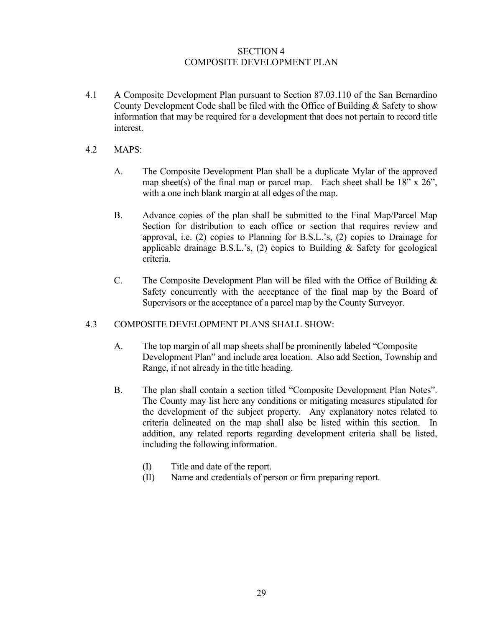## SECTION 4 COMPOSITE DEVELOPMENT PLAN

- 4.1 A Composite Development Plan pursuant to Section 87.03.110 of the San Bernardino County Development Code shall be filed with the Office of Building & Safety to show information that may be required for a development that does not pertain to record title interest.
- 4.2 MAPS:
	- A. The Composite Development Plan shall be a duplicate Mylar of the approved map sheet(s) of the final map or parcel map. Each sheet shall be  $18"$  x  $26"$ , with a one inch blank margin at all edges of the map.
	- B. Advance copies of the plan shall be submitted to the Final Map/Parcel Map Section for distribution to each office or section that requires review and approval, i.e. (2) copies to Planning for B.S.L.'s, (2) copies to Drainage for applicable drainage B.S.L.'s, (2) copies to Building & Safety for geological criteria.
	- C. The Composite Development Plan will be filed with the Office of Building & Safety concurrently with the acceptance of the final map by the Board of Supervisors or the acceptance of a parcel map by the County Surveyor.

### 4.3 COMPOSITE DEVELOPMENT PLANS SHALL SHOW:

- A. The top margin of all map sheets shall be prominently labeled "Composite Development Plan" and include area location. Also add Section, Township and Range, if not already in the title heading.
- B. The plan shall contain a section titled "Composite Development Plan Notes". The County may list here any conditions or mitigating measures stipulated for the development of the subject property. Any explanatory notes related to criteria delineated on the map shall also be listed within this section. In addition, any related reports regarding development criteria shall be listed, including the following information.
	- (I) Title and date of the report.
	- (II) Name and credentials of person or firm preparing report.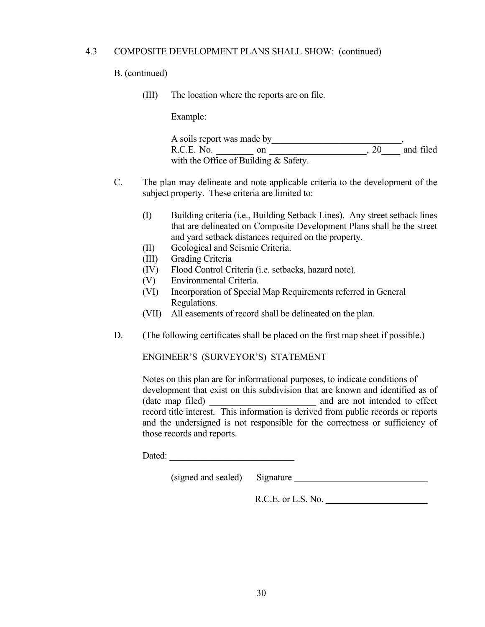### 4.3 COMPOSITE DEVELOPMENT PLANS SHALL SHOW: (continued)

#### B. (continued)

(III) The location where the reports are on file.

Example:

| A soils report was made by              |  |           |
|-----------------------------------------|--|-----------|
| R.C.E. No.                              |  | and filed |
| with the Office of Building $&$ Safety. |  |           |

- C. The plan may delineate and note applicable criteria to the development of the subject property. These criteria are limited to:
	- (I) Building criteria (i.e., Building Setback Lines). Any street setback lines that are delineated on Composite Development Plans shall be the street and yard setback distances required on the property.
	- (II) Geological and Seismic Criteria.
	- (III) Grading Criteria
	- (IV) Flood Control Criteria (i.e. setbacks, hazard note).
	- (V) Environmental Criteria.
	- (VI) Incorporation of Special Map Requirements referred in General Regulations.
	- (VII) All easements of record shall be delineated on the plan.
- D. (The following certificates shall be placed on the first map sheet if possible.)

ENGINEER'S (SURVEYOR'S) STATEMENT

 Notes on this plan are for informational purposes, to indicate conditions of development that exist on this subdivision that are known and identified as of (date map filed) and are not intended to effect record title interest. This information is derived from public records or reports and the undersigned is not responsible for the correctness or sufficiency of those records and reports.

Dated:

(signed and sealed) Signature

R.C.E. or L.S. No.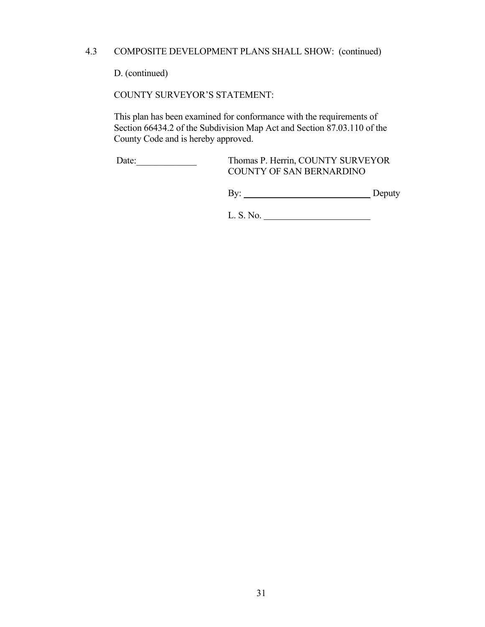## 4.3 COMPOSITE DEVELOPMENT PLANS SHALL SHOW: (continued)

D. (continued)

COUNTY SURVEYOR'S STATEMENT:

 This plan has been examined for conformance with the requirements of Section 66434.2 of the Subdivision Map Act and Section 87.03.110 of the County Code and is hereby approved.

 Date:\_\_\_\_\_\_\_\_\_\_\_\_\_ Thomas P. Herrin, COUNTY SURVEYOR COUNTY OF SAN BERNARDINO

By: Deputy

L. S. No.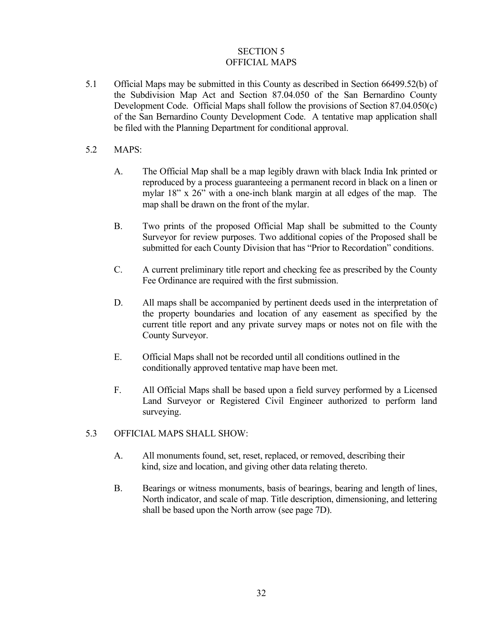## SECTION 5 OFFICIAL MAPS

5.1 Official Maps may be submitted in this County as described in Section 66499.52(b) of the Subdivision Map Act and Section 87.04.050 of the San Bernardino County Development Code. Official Maps shall follow the provisions of Section 87.04.050(c) of the San Bernardino County Development Code. A tentative map application shall be filed with the Planning Department for conditional approval.

### 5.2 MAPS:

- A. The Official Map shall be a map legibly drawn with black India Ink printed or reproduced by a process guaranteeing a permanent record in black on a linen or mylar 18" x 26" with a one-inch blank margin at all edges of the map. The map shall be drawn on the front of the mylar.
- B. Two prints of the proposed Official Map shall be submitted to the County Surveyor for review purposes. Two additional copies of the Proposed shall be submitted for each County Division that has "Prior to Recordation" conditions.
- C. A current preliminary title report and checking fee as prescribed by the County Fee Ordinance are required with the first submission.
- D. All maps shall be accompanied by pertinent deeds used in the interpretation of the property boundaries and location of any easement as specified by the current title report and any private survey maps or notes not on file with the County Surveyor.
- E. Official Maps shall not be recorded until all conditions outlined in the conditionally approved tentative map have been met.
- F. All Official Maps shall be based upon a field survey performed by a Licensed Land Surveyor or Registered Civil Engineer authorized to perform land surveying.
- 5.3 OFFICIAL MAPS SHALL SHOW:
	- A. All monuments found, set, reset, replaced, or removed, describing their kind, size and location, and giving other data relating thereto.
	- B. Bearings or witness monuments, basis of bearings, bearing and length of lines, North indicator, and scale of map. Title description, dimensioning, and lettering shall be based upon the North arrow (see page 7D).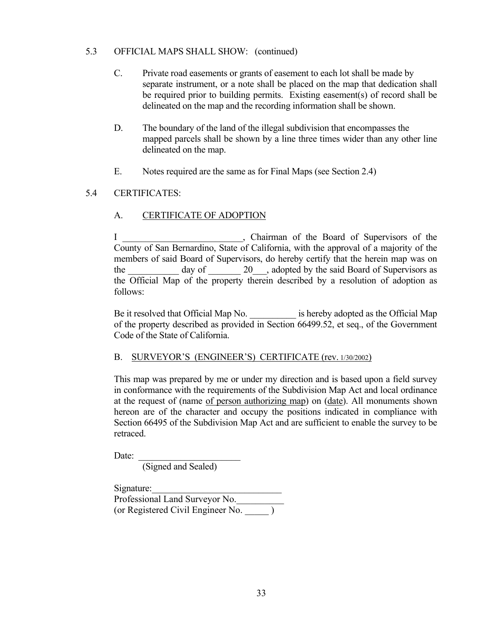## 5.3 OFFICIAL MAPS SHALL SHOW: (continued)

- C. Private road easements or grants of easement to each lot shall be made by separate instrument, or a note shall be placed on the map that dedication shall be required prior to building permits. Existing easement(s) of record shall be delineated on the map and the recording information shall be shown.
- D. The boundary of the land of the illegal subdivision that encompasses the mapped parcels shall be shown by a line three times wider than any other line delineated on the map.
- E. Notes required are the same as for Final Maps (see Section 2.4)

## 5.4 CERTIFICATES:

## A. CERTIFICATE OF ADOPTION

I \_\_\_\_\_\_\_\_\_\_\_\_\_\_\_\_\_\_\_\_\_\_, Chairman of the Board of Supervisors of the County of San Bernardino, State of California, with the approval of a majority of the members of said Board of Supervisors, do hereby certify that the herein map was on the day of 20 , adopted by the said Board of Supervisors as the Official Map of the property therein described by a resolution of adoption as follows:

Be it resolved that Official Map No.  $\qquad \qquad$  is hereby adopted as the Official Map of the property described as provided in Section 66499.52, et seq., of the Government Code of the State of California.

### B. SURVEYOR'S (ENGINEER'S) CERTIFICATE (rev. 1/30/2002)

 This map was prepared by me or under my direction and is based upon a field survey in conformance with the requirements of the Subdivision Map Act and local ordinance at the request of (name of person authorizing map) on (date). All monuments shown hereon are of the character and occupy the positions indicated in compliance with Section 66495 of the Subdivision Map Act and are sufficient to enable the survey to be retraced.

Date:

(Signed and Sealed)

Signature: Professional Land Surveyor No.\_\_\_\_\_\_\_\_\_\_ (or Registered Civil Engineer No.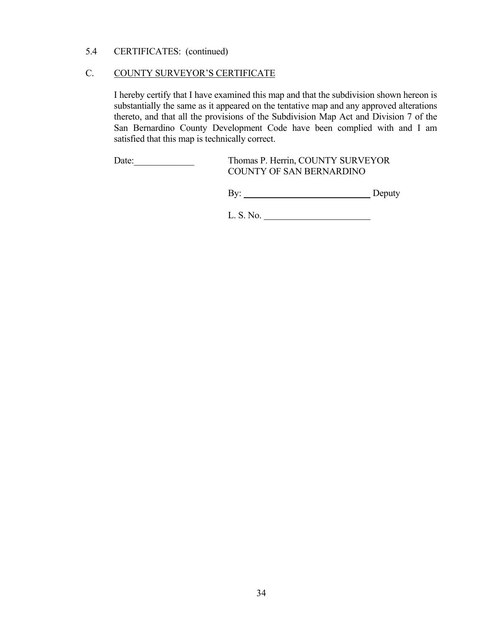## 5.4 CERTIFICATES: (continued)

### C. COUNTY SURVEYOR'S CERTIFICATE

 I hereby certify that I have examined this map and that the subdivision shown hereon is substantially the same as it appeared on the tentative map and any approved alterations thereto, and that all the provisions of the Subdivision Map Act and Division 7 of the San Bernardino County Development Code have been complied with and I am satisfied that this map is technically correct.

Date: Thomas P. Herrin, COUNTY SURVEYOR COUNTY OF SAN BERNARDINO

By: Deputy

L. S. No.